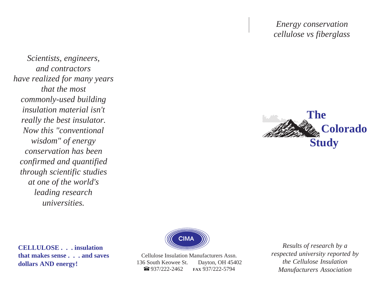*Energy conservation cellulose vs fiberglass*

*Scientists, engineers, and contractors have realized for many years that the most commonly-used building insulation material isn't really the best insulator. Now this "conventional wisdom" of energy conservation has been confirmed and quantified through scientific studies at one of the world's leading research universities.*





**CELLULOSE . . . insulation that makes sense . . . and saves dollars AND energy!**

Cellulose Insulation Manufacturers Assn. 136 South Keowee St. Dayton, OH 45402 937/222-2462 **FAX** 937/222-5794  $\bigcirc$  937/222-2462

*Results of research by a respected university reported by the Cellulose Insulation Manufacturers Association*